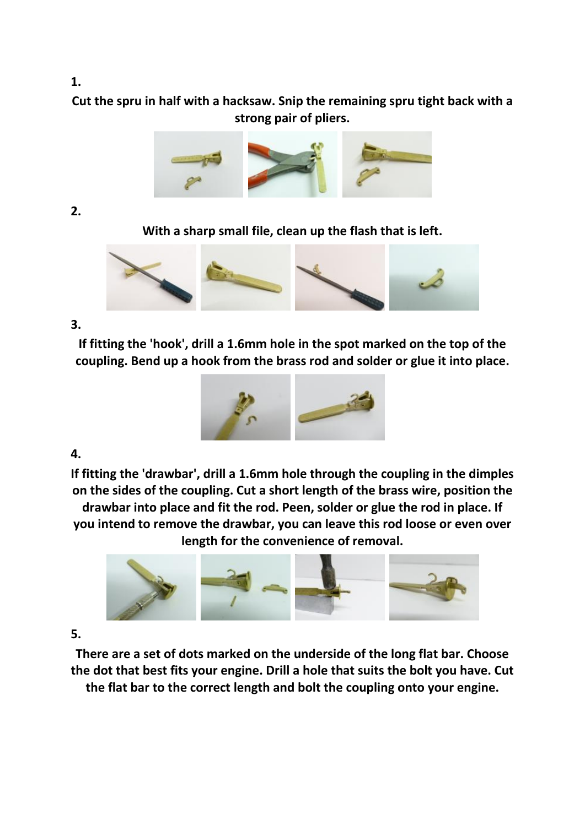# **Cut the spru in half with a hacksaw. Snip the remaining spru tight back with a strong pair of pliers.**



### **2.**

**With a sharp small file, clean up the flash that is left.**



## **3.**

**If fitting the 'hook', drill a 1.6mm hole in the spot marked on the top of the coupling. Bend up a hook from the brass rod and solder or glue it into place.**



## **4.**

**If fitting the 'drawbar', drill a 1.6mm hole through the coupling in the dimples on the sides of the coupling. Cut a short length of the brass wire, position the drawbar into place and fit the rod. Peen, solder or glue the rod in place. If you intend to remove the drawbar, you can leave this rod loose or even over length for the convenience of removal.**



### **5.**

**There are a set of dots marked on the underside of the long flat bar. Choose the dot that best fits your engine. Drill a hole that suits the bolt you have. Cut the flat bar to the correct length and bolt the coupling onto your engine.**

#### **1.**